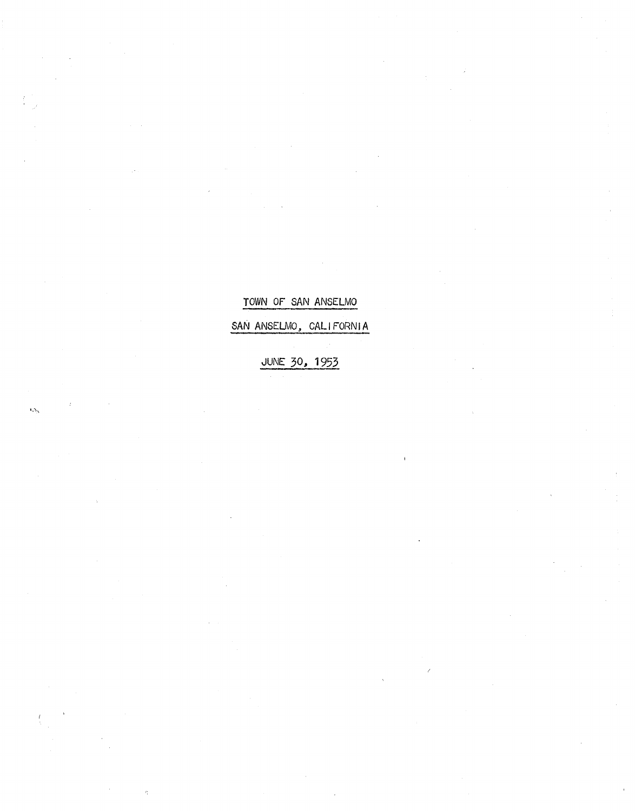## TOWN OF SAN ANSELMO

SAN ANSELMO, CALIFORNIA

JUNE 30, 1953

 $\omega_{\rm b}$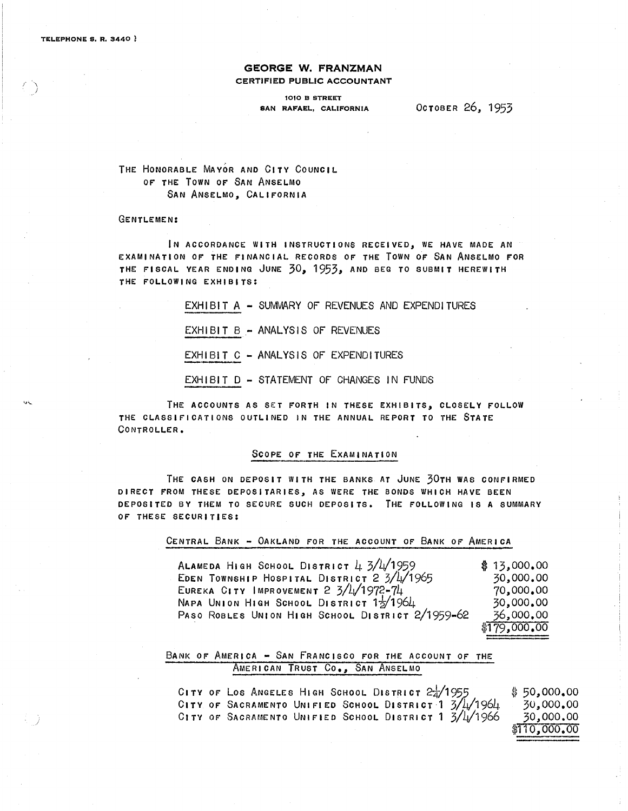*,I* " )

### **GEORGE W. FRANZMAN**  CERTIFIED PUBLIC ACCOUNTANT

#### 1010 B STREET SAN RAFAEL, CALIFORNIA OCTOBER 26, 1953

### THE HONORABLE MAYOR AND CITY COUNCIL or THE TOWN or SAN ANSELMO SAN ANSELMO, CALIFORNIA

#### GENTLEMEN:

IN ACCORDANCE WITH INSTRUCTIONS RECEIVED, WE HAVE MADE AN EXAMINATION or THE FINANCIAL RECORDS OF THE TOWN OF SAN ANSELMO FOR THE rlSCAL YEAR ENDING JUNE 30, 1953, AND BEG TO SUBMIT HEREWITH THE FOLLOWING EXHIBITS:

> $EXHIBIT A - SUMMARY OF REVENUES AND EXPENDITURES$  $EXHIBIT B - ANALYSIS OF REVENUES$ EXHIBIT C - ANALYSIS OF EXPENDITURES

EXHIBIT D - STATEMENT OF CHANGES IN FUNDS

THE ACCOUNTS AS SET FORTH IN THESE EXHIBITS, CLOSELY FOLLOW THE CLASSIFICATIONS OUTLINED IN THE ANNUAL. REPORT TO THE STATE CONTROLLER.

#### SCOPE OF THE EXAMINATION

THE CASH ON DEPOSIT WITH THE BANKS AT JUNE 30TH WAS CONFIRMED DIRECT FROM THESE DEPOSITARIES, AS WERE THE BONDS WHICH HAVE BEEN DEPOSITED BY THEM TO SECURE SUCH DEPOSITS. THE FOLLOWING IS A SUMMARY OF THESE SECURITIES:

CENTRAL BANK - OAKLAND FOR THE ACCOUNT OF BANK OF AMERICA

ALAMEDA HIGH SCHOOL DISTRICT  $4.3/\frac{1}{1959}$ EDEN TOWNSHIP HOSPITAL DISTRICT  $2 \frac{3}{4}\frac{1}{2}$ 1965 EUREKA CITY IMPROVEMENT  $2 \frac{3}{4} \frac{1}{1972}$ -74 NAPA UNION HIGH SCHOOL DISTRICT  $1\frac{1}{2}$ /1964 PASO ROBLES UNION HIGH SCHOOL DISTRICT 2/1959-62  $$13,000.00$ 30,000.00 70,000.00 30,000.00 36,000.00 \$179,000.00

### BANK OF AMERICA - SAN FRANCISCO FOR THE ACCOUNT OF THE AMERICAN TRUST CO., SAN ANSELMO

CITY OF LOS ANGELES HIGH SCHOOL DISTRICT  $24/1955$ CITY OF SACRAMENTO UNIFIED SCHOOL DISTRICT 1  $3/11/1961$ CITY OF SACRAMENTO UNIFIED SCHOOL DISTRICT 1 3/4/1966  $$50,000,00$ 30,,000.00 30,,000.00 \$110,000,00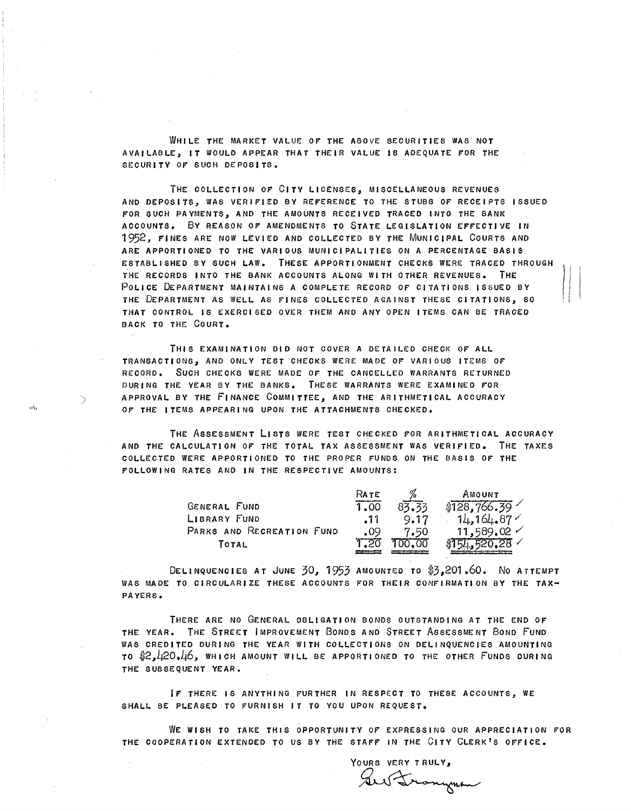WHilE THE MARKET VALUE *Or* THE ABOVE SECURITIES WAS NOT AVAilABLE, IT WOULD APPEAR THAT THEIR VALUE IS ADEQUATE rOR THE SECURITY *Or* SUCH DEPOSITS.

THE COLLECTION *Or* CITV LICENSES, MISCELLANEOUS REVENUES AND DEPOSITS, WAS VERIFIED BV RErERENCE TO THE STUBS *Or* RECEIPTS ISSUED FOR SUCH PAVMENTS, AND THE AMOUNTS RECEIVED TRACED INTO THE BANK ACCOUNTS. Bv REASON OF AMENDMENTS TO STATE LEGISLATION EFrECTIVE IN 1952, FINES ARE NOW LEVIED AND COLLECTED BV THE MUNICIPAL COURTS AND ARE APPORTIONED TO THE VARIOUS MUNICIPALITIES ON A PERCENTAGE BASIS ESTABLISHED BV SUCH LAW. THESE APPORTIONMENT CHECKS WERE TRACED THROUGH THE RECORDS INTO THE BANK ACCOUNTS ALONG WITH OTHER REVENUES. THE POLICE DEPARTMENT MAINTAINS A COMPLETE RECORD *Or* CITATIONS ISSUED BV THE DEPARTMENT AS WELL AS rlNES COLLECTED AGAINST THESE CITATIONS, SO THAT CONTROL IS EXERCISED OVER THEM AND ANV OPEN ITEMS CAN BE TRACED BACK TO THE COURT.

THIS EXAMINATION DID NOT COVER A DETAILED CHECK *Or* ALL TRANSACTIONS, AND ONLY TEST CHECKS WERE MADE *Or* VARIOUS ITEMS OF RECORD. SUCH CHECKS WERE MADE OF THE CANCELLED WARRANTS RETURNED DURING THE VEAR BV THE BANKS. THESE WARRANTS WERE EXAMINED rOR APPROVAL BY THE FINANCE COMMITTEE, AND THE ARITHMETICAL ACCURACV OF THE ITEMS APPEARING UPON THE ATTACHMENTS CHECKED.

)

THE ASSESSMENT LISTS WERE TEST CHECKED FOR ARITHMETICAL ACCURACV AND THE CALCULATION Or THE TOTAL TAX ASSESSMENT WAS VERIFIED. THE TAXES COLLECTED WERE APPORTIONED TO THE PROPER FUNDS ON THE BASIS OF THE rOLlOWING RATES AND IN THE RESPECTIVE AMOUNTS:

|                           | Rate |       | AMOUNT             |
|---------------------------|------|-------|--------------------|
| <b>GENERAL FUND</b>       | 1.00 | 83.33 | \$128,766.39       |
| LIBRARY FUND              | .11  | 9.17  | 14,164,87          |
| PARKS AND RECREATION FUND | .09  | 7.50  | $11,589,02 \times$ |
| Тотац                     |      |       |                    |

DELINQUENCIES AT JUNE 30, 1953 AMOUNTED TO \$3,201.60. NO ATTEMPT WAS MADE TO CIRCULARIZE THESE ACCOUNTS FOR THEIR CONFIRMATION BV THE TAX-PAVERS.

THERE ARE NO GENERAL OBLIGATION BONDS OUTSTANDING AT THE END *Or*  THE VEAR. THE STREET IMPROVEMENT BONDS AND STREET ASSESSMENT BOND FUND WAS CREDITED DURING THE YEAR WITH COLLECTIONS ON DELINQUENCIES AMOUNTING TO \$2,420.46, WHICH AMOUNT WILL BE APPORTIONED TO THE OTHER FUNDS DURING THE SUBSEQUENT YEAR.

Ir THERE IS ANVTHING FURTHER IN RESPECT TO THESE ACCOUNTS, WE SHALL BE PLEASED TO FURNISH IT TO YOU UPON REQUEST.

WE WISH TO TAKE THIS OPPORTUNITV OF EXPRESSING OUR APPRECIATION FOR THE COOPERATION EXTENDED TO US BY THE STAFF IN THE CITY CLERK'S OFFICE.

YOURS VERY TRULY, Ses Frongman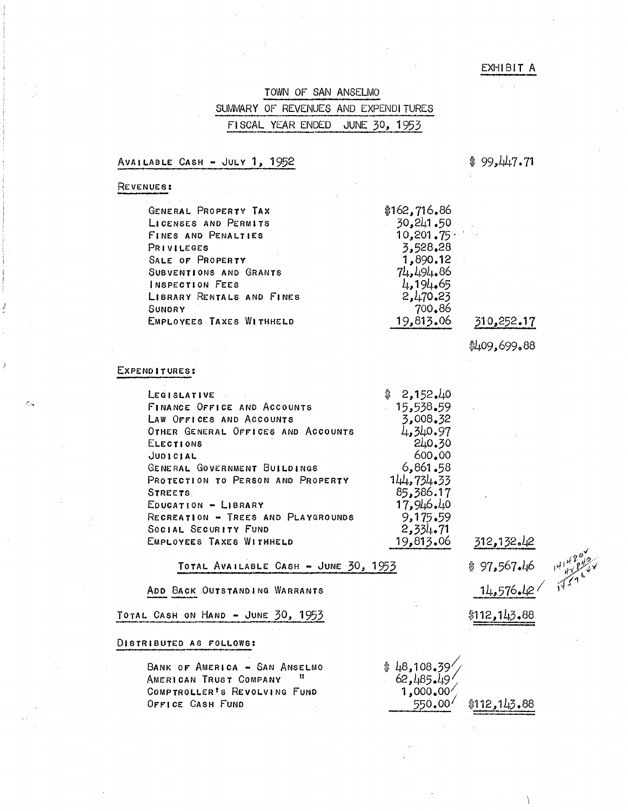### EXHIBIT A

|                                                                                                                                                               |  |  | TOWN OF SAN ANSELMO<br>التقاسيل ترابنا أسددته والمتناجي والمتحلقين فاستحقاق والقبط فأنسا والدرسة لينبا والمتحالية |  |  |
|---------------------------------------------------------------------------------------------------------------------------------------------------------------|--|--|-------------------------------------------------------------------------------------------------------------------|--|--|
| SUMMARY OF REVENUES AND EXPENDITURES                                                                                                                          |  |  |                                                                                                                   |  |  |
| FISCAL YEAR ENDED JUNE 30, 1953<br>hti an alfaith i fair a famo car i bail a alfaid fa a ann a a chaillead an an Eadarana an ag an Aind a de an an an an an a |  |  |                                                                                                                   |  |  |

#### AVAILABLE CASH - JULY  $1, 1952$

 $$99.447.71$ 

### REVENUES:

| GENERAL PROPERTY TAX       | \$162,716.86 |            |
|----------------------------|--------------|------------|
| LICENSES AND PERMITS       | 30,241.50    |            |
| <b>FINES AND PENALTIES</b> | 10,201,75    |            |
| PRIVILEGES                 | 3,528,28     |            |
| SALE OF PROPERTY.          | 1,890.12     |            |
| SUBVENTIONS AND GRANTS     | 71.491.86    |            |
| <b>INSPECTION FEES</b>     | 4,194,65     |            |
| LIBRARY RENTALS AND FINES  | 2,470.23     |            |
| <b>SUNDRY</b>              | 700.86       |            |
| EMPLOYEES TAXES WITHHELD   | 19,813.06    | 310,252.17 |

\*409,699.88

#### EXPENDITURES:

 $\hat{\mathbf{C}}$ la

| LEGISLATIVE                        | 2,152,40   |
|------------------------------------|------------|
| <b>FINANCE OFFICE AND ACCOUNTS</b> | 15,538.59  |
| LAW OFFICES AND ACCOUNTS           | 3,008.32   |
| OTHER GENERAL OFFICES AND ACCOUNTS | 4,340.97   |
| ELECTIONS                          | 240.30     |
| JUDICIAL                           | 600.00     |
| GENERAL GOVERNMENT BUILDINGS       | 6,861,58   |
| PROTECTION TO PERSON AND PROPERTY  | 144.734.33 |
| STREETS.                           | 85,386.17  |
| EDUCATION - LIBRARY                | 17,946.40  |
| RECREATION - TREES AND PLAYGROUNDS | 9,175,59   |
| SOCIAL SECURITY FUND               | 2,334.71   |
| EMPLOYEES TAXES WITHHELD           | 19,813,06  |

### TOTAL AVAILABLE CASH - JUNE  $30, 1953$

ADO BACK OUTSTANDING WARRANTS

TOTAL CASH ON HAND - JUNE 30, 1953

#### DISTRIBUTED AS FOLLOWS:

BANK OF AMERICA - SAN ANSELMO AMERICAN TRUST COMPANY COMPTROLLER<sup>t</sup>s REVOLVING FUND OFFICE CASH FUND

 $14,576.12$ \$112,143.88

312,132.42

\$ 97,567.46

\$ 48,108.39/<br>62,485.49/ 1,000.00 550.00  $$112,143.88$ 

 $\lambda$ 

 $\mathcal{J}^{\prime}$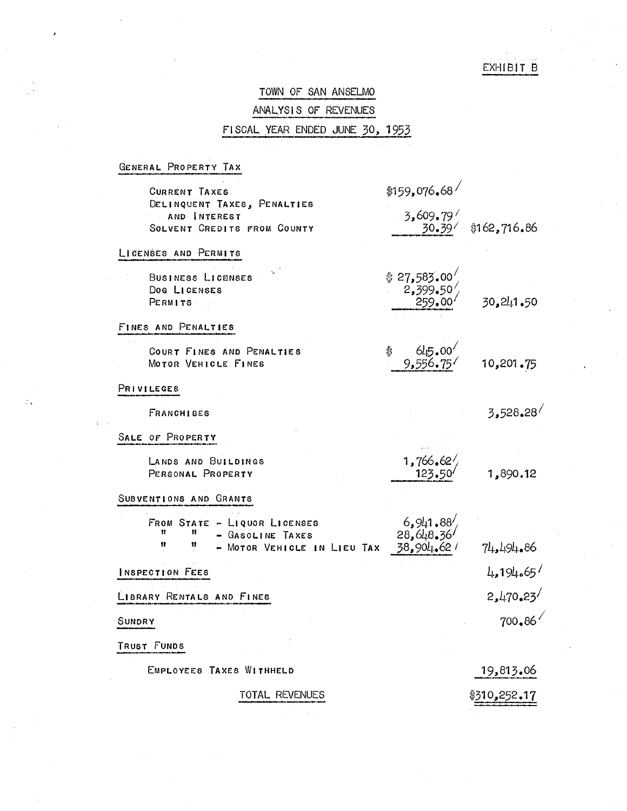## EXHIBIT B

# TOWN OF SAN ANSELMO ANALYSIS OF REVENUES FISCAL YEAR ENDED JUNE 30, 1953

GENERAL PROPERTY TAX

ð.

| <b>CURRENT TAXES</b>                                                                            | \$159,076,68                                 |              |
|-------------------------------------------------------------------------------------------------|----------------------------------------------|--------------|
| DELINQUENT TAXES, PENALTIES<br>AND INTEREST<br>SOLVENT CREDITS FROM COUNTY                      | 3,609.79<br>30.39                            | \$162,716.86 |
| LICENSES AND PERMITS                                                                            |                                              |              |
| BUSINESS LICENSES<br>Dog LICENSES<br>PERMITS                                                    | $$27,583.00 /$<br>$2,399.50 /$<br>$259.00 /$ | 30,241.50    |
| FINES AND PENALTIES                                                                             |                                              |              |
| COURT FINES AND PENALTIES<br>MOTOR VEHICLE FINES                                                | $645.00^{6}$<br>9.556.75<br>\$               | 10,201.75    |
| PRIVILEGES                                                                                      |                                              |              |
| <b>FRANCHISES</b>                                                                               |                                              | 3,528,28     |
| SALE OF PROPERTY                                                                                |                                              |              |
| LANDS AND BUILDINGS<br>PERSONAL PROPERTY                                                        | $1,766,62/$<br>123.50                        | 1,890.12     |
| SUBVENTIONS AND GRANTS                                                                          |                                              |              |
| FROM STATE - LIQUOR LICENSES<br>Ħ<br>- GASOLINE TAXES<br>Ħ<br>11<br>- MOTOR VEHICLE IN LIEU TAX | $6,941.88$<br>28,648.36<br>38,904.62/        | 74,494,86    |
| INSPECTION FEES                                                                                 |                                              | 4.194.65     |
| LIBRARY RENTALS AND FINES                                                                       |                                              | 2,470.23     |
| SUNDRY                                                                                          |                                              | 700.86       |
| TRUST FUNDS                                                                                     |                                              |              |
| EMPLOYEES TAXES WITHHELD                                                                        |                                              | 19,813.06    |
| TOTAL REVENUES                                                                                  |                                              | \$310.252.17 |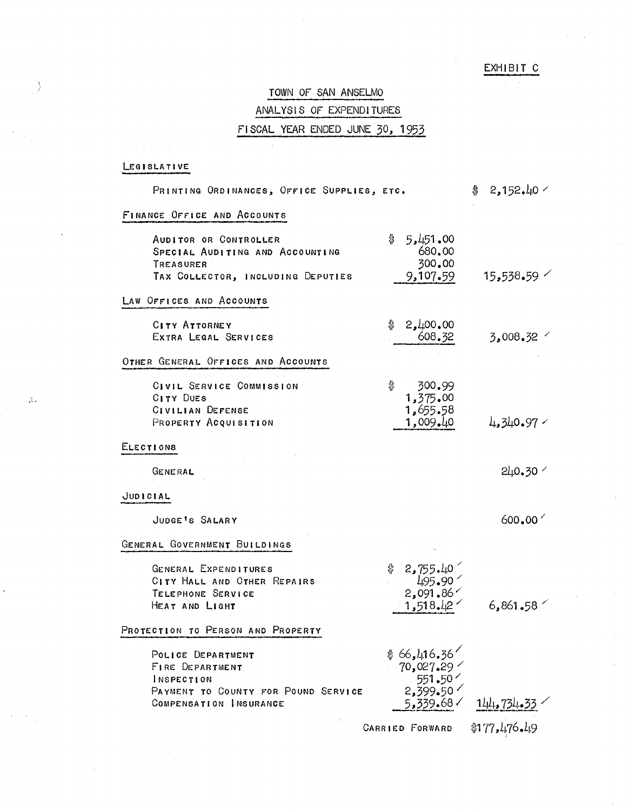## EXHIBIT C

# TOWN OF SAN ANSELMO ANALYSIS OF EXPENDITURES FISCAL YEAR ENDED JUNE 30, 1953

## LEGISLATIVE

Ŋ

 $\gtrsim$   $_{\circ}$ 

| PRINTING ORDINANCES, OFFICE SUPPLIES, ETC.                                                                 |                                                                    | 2,152,40<br>\$     |
|------------------------------------------------------------------------------------------------------------|--------------------------------------------------------------------|--------------------|
| FINANCE OFFICE AND ACCOUNTS                                                                                |                                                                    |                    |
| AUDITOR OR CONTROLLER<br>SPECIAL AUDITING AND ACCOUNTING<br>TREASURER<br>TAX COLLECTOR, INCLUDING DEPUTIES | \$<br>5,451,00<br>680.00<br>300.00<br>9,107.59                     | 15,538,59          |
| LAW OFFICES AND ACCOUNTS                                                                                   |                                                                    |                    |
| <b>CITY ATTORNEY</b><br>EXTRA LEGAL SERVICES                                                               | 2,400,00<br>\$<br>608.32                                           | 3,008,32           |
| OTHER GENERAL OFFICES AND ACCOUNTS                                                                         |                                                                    |                    |
| CIVIL SERVICE COMMISSION<br>CITY DUES<br>CIVILIAN DEFENSE<br>PROPERTY ACQUISITION                          | \$<br>300.99<br>1,375.00<br>1,655.58<br>1,009.40                   | 4,340.97           |
| <b>ELECTIONS</b>                                                                                           |                                                                    |                    |
| GENERAL                                                                                                    |                                                                    | $240.30$ $\degree$ |
| JUDICIAL                                                                                                   |                                                                    |                    |
| JUDGE'S SALARY                                                                                             |                                                                    | 600,00'            |
| GENERAL GOVERNMENT BUILDINGS                                                                               |                                                                    |                    |
| GENERAL EXPENDITURES<br>CITY HALL AND OTHER REPAIRS<br>TELEPHONE SERVICE<br>HEAT AND LIGHT                 | 2,755.40<br>495.90<br>2,091.86<br>1,518,12                         | 6,861.58           |
| PROTECTION TO PERSON AND PROPERTY                                                                          |                                                                    |                    |
| POLICE DEPARTMENT<br><b>FIRE DEPARTMENT</b><br>INSPECTION<br>PAYMENT TO COUNTY FOR POUND SERVICE           | \$66,416.36'<br>$70,027.29$ $^{\prime}$<br>∕ 50.507<br>1 50.509,50 |                    |
| COMPENSATION INSURANCE                                                                                     | 5,339.68。                                                          | 141.734.33         |
|                                                                                                            | <b>CARRIED FORWARD</b>                                             | \$177,476.49       |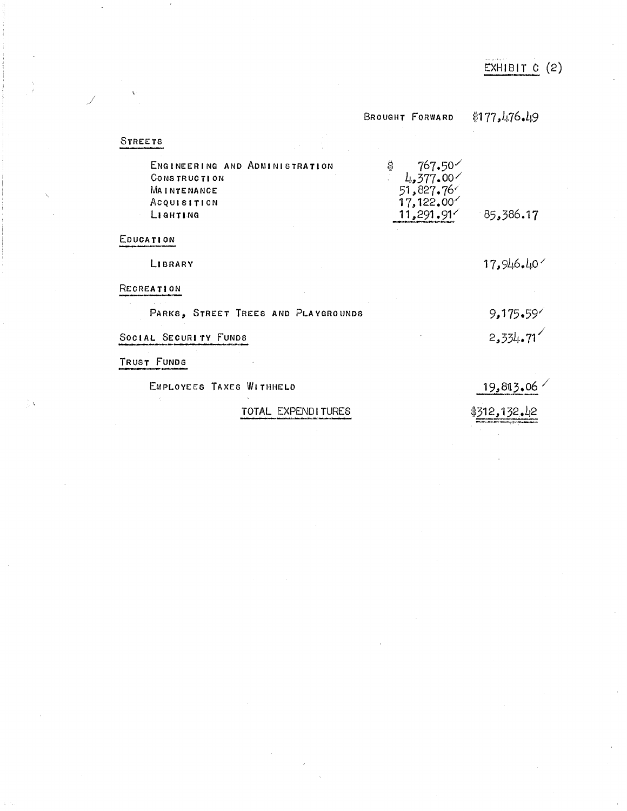|                                     | BROUGHT FORWARD              | \$177, 476.49 |
|-------------------------------------|------------------------------|---------------|
| STREETS                             |                              |               |
| ENGINEERING AND ADMINISTRATION      | \$<br>∕767.50<br>∕4,377.00 د |               |
| <b>CONSTRUCTION</b><br>MAINTENANCE  | 51,827.76                    |               |
| Acquisition                         | 17,122.00                    |               |
| LIGHTING                            | 11,291.91'                   | 85,386.17     |
| EDUCATION                           |                              |               |
| LIBRARY                             |                              | 17,946.40     |
| RECREATION                          |                              |               |
| PARKS, STREET TREES AND PLAYGROUNDS |                              | 9,175.59      |
| SOCIAL SECURITY FUNDS               |                              | 2,334.71      |
| TRUST FUNDS                         |                              |               |
| EMPLOYEES TAXES WITHHELD            |                              | 19,813.06     |
| TATAL EVDENDLITHDEO                 |                              | \$Z10 1Z0 LO  |

j

TOTAL EXPENDITURES

\$31 ~:!~ *32.L12*